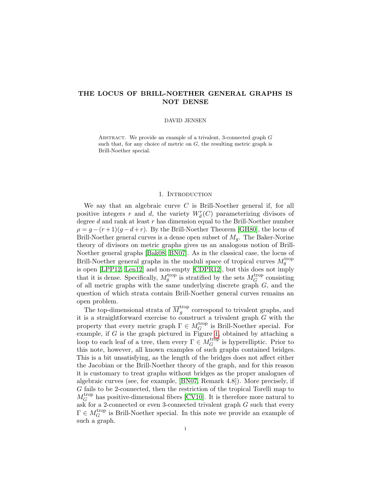# THE LOCUS OF BRILL-NOETHER GENERAL GRAPHS IS NOT DENSE

### DAVID JENSEN

ABSTRACT. We provide an example of a trivalent, 3-connected graph  $G$ such that, for any choice of metric on  $G$ , the resulting metric graph is Brill-Noether special.

## 1. Introduction

<span id="page-0-0"></span>We say that an algebraic curve  $C$  is Brill-Noether general if, for all positive integers r and d, the variety  $W_d^r(C)$  parameterizing divisors of degree d and rank at least r has dimension equal to the Brill-Noether number  $\rho = g - (r + 1)(g - d + r)$ . By the Brill-Noether Theorem [\[GH80\]](#page-3-0), the locus of Brill-Noether general curves is a dense open subset of  $M_q$ . The Baker-Norine theory of divisors on metric graphs gives us an analogous notion of Brill-Noether general graphs [\[Bak08,](#page-3-1) [BN07\]](#page-3-2). As in the classical case, the locus of Brill-Noether general graphs in the moduli space of tropical curves  $M_g^{\text{trop}}$ is open [\[LPP12,](#page-3-3) [Len12\]](#page-3-4) and non-empty [\[CDPR12\]](#page-3-5), but this does not imply that it is dense. Specifically,  $M_g^{\text{trop}}$  is stratified by the sets  $M_G^{\text{trop}}$  $G$  consisting of all metric graphs with the same underlying discrete graph  $G$ , and the question of which strata contain Brill-Noether general curves remains an open problem.

The top-dimensional strata of  $\overline{M}_q^{\text{trop}}$  $g<sub>g</sub>$  correspond to trivalent graphs, and it is a straightforward exercise to construct a trivalent graph G with the property that every metric graph  $\Gamma \in M_G^{\text{trop}}$  $_G^{\text{trop}}$  is Brill-Noether special. For example, if  $G$  is the graph pictured in Figure [1,](#page-0-0) obtained by attaching a loop to each leaf of a tree, then every  $\Gamma \in M_G^{\text{trop}}$  $_G^{\text{trop}}$  is hyperelliptic. Prior to this note, however, all known examples of such graphs contained bridges. This is a bit unsatisfying, as the length of the bridges does not affect either the Jacobian or the Brill-Noether theory of the graph, and for this reason it is customary to treat graphs without bridges as the proper analogues of algebraic curves (see, for example, [\[BN07,](#page-3-2) Remark 4.8]). More precisely, if G fails to be 2-connected, then the restriction of the tropical Torelli map to  $M_G^{\text{trop}}$  $_G^{\text{trop}}$  has positive-dimensional fibers [\[CV10\]](#page-3-6). It is therefore more natural to ask for a 2-connected or even 3-connected trivalent graph  $G$  such that every  $\Gamma \in M_G^{\text{trop}}$  $G$ <sup>trop</sup> is Brill-Noether special. In this note we provide an example of such a graph.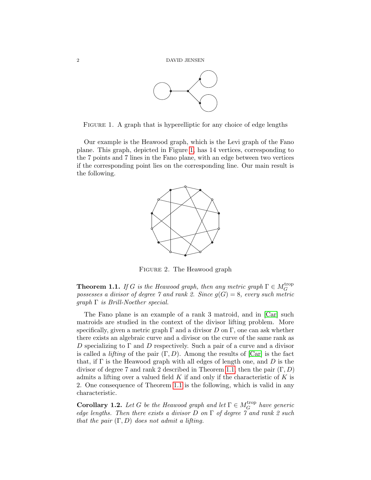

<span id="page-1-0"></span>FIGURE 1. A graph that is hyperelliptic for any choice of edge lengths

Our example is the Heawood graph, which is the Levi graph of the Fano plane. This graph, depicted in Figure [1,](#page-1-0) has 14 vertices, corresponding to the 7 points and 7 lines in the Fano plane, with an edge between two vertices if the corresponding point lies on the corresponding line. Our main result is the following.



Figure 2. The Heawood graph

<span id="page-1-1"></span>**Theorem 1.1.** If G is the Heawood graph, then any metric graph  $\Gamma \in M_G^{\text{trop}}$ G possesses a divisor of degree 7 and rank 2. Since  $g(G) = 8$ , every such metric  $graph \Gamma$  is Brill-Noether special.

The Fano plane is an example of a rank 3 matroid, and in [\[Car\]](#page-3-7) such matroids are studied in the context of the divisor lifting problem. More specifically, given a metric graph  $\Gamma$  and a divisor D on  $\Gamma$ , one can ask whether there exists an algebraic curve and a divisor on the curve of the same rank as D specializing to  $\Gamma$  and D respectively. Such a pair of a curve and a divisor is called a *lifting* of the pair  $(\Gamma, D)$ . Among the results of  $[Car]$  is the fact that, if  $\Gamma$  is the Heawood graph with all edges of length one, and D is the divisor of degree 7 and rank 2 described in Theorem [1.1,](#page-1-1) then the pair  $(\Gamma, D)$ admits a lifting over a valued field  $K$  if and only if the characteristic of  $K$  is 2. One consequence of Theorem [1.1](#page-1-1) is the following, which is valid in any characteristic.

<span id="page-1-2"></span>**Corollary 1.2.** Let G be the Heawood graph and let  $\Gamma \in M_G^{\text{trop}}$  $_G^{\text{trop}}$  have generic edge lengths. Then there exists a divisor  $D$  on  $\Gamma$  of degree  $\gamma$  and rank 2 such that the pair  $(\Gamma, D)$  does not admit a lifting.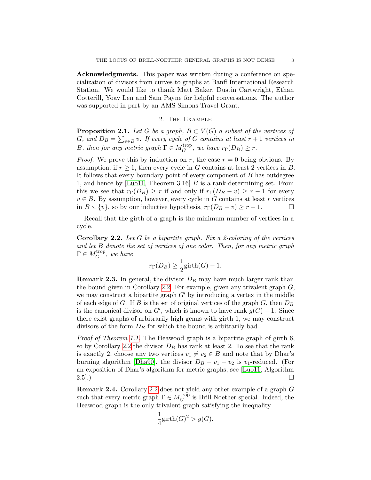Acknowledgments. This paper was written during a conference on specialization of divisors from curves to graphs at Banff International Research Station. We would like to thank Matt Baker, Dustin Cartwright, Ethan Cotterill, Yoav Len and Sam Payne for helpful conversations. The author was supported in part by an AMS Simons Travel Grant.

## 2. The Example

**Proposition 2.1.** Let G be a graph,  $B \subset V(G)$  a subset of the vertices of G, and  $D_B = \sum_{v \in B} v$ . If every cycle of G contains at least  $r + 1$  vertices in B, then for any metric graph  $\Gamma \in M_G^{\text{trop}}$  $G^{trop}$ , we have  $r_{\Gamma}(D_B) \geq r$ .

*Proof.* We prove this by induction on r, the case  $r = 0$  being obvious. By assumption, if  $r \geq 1$ , then every cycle in G contains at least 2 vertices in B. It follows that every boundary point of every component of B has outdegree 1, and hence by  $[Lu011, Theorem 3.16]$  B is a rank-determining set. From this we see that  $r_{\Gamma}(D_B) \geq r$  if and only if  $r_{\Gamma}(D_B - v) \geq r - 1$  for every  $v \in B$ . By assumption, however, every cycle in G contains at least r vertices in  $B \setminus \{v\}$ , so by our inductive hypothesis,  $r_{\Gamma}(D_B - v) \geq r - 1$ .

Recall that the girth of a graph is the minimum number of vertices in a cycle.

<span id="page-2-0"></span>**Corollary 2.2.** Let G be a bipartite graph. Fix a 2-coloring of the vertices and let B denote the set of vertices of one color. Then, for any metric graph  $\Gamma \in M_G^{\operatorname{trop}}$  $G^{trop}$ , we have

$$
r_{\Gamma}(D_B) \ge \frac{1}{2}\text{girth}(G) - 1.
$$

**Remark 2.3.** In general, the divisor  $D<sub>B</sub>$  may have much larger rank than the bound given in Corollary [2.2.](#page-2-0) For example, given any trivalent graph  $G$ , we may construct a bipartite graph  $G'$  by introducing a vertex in the middle of each edge of G. If B is the set of original vertices of the graph  $G$ , then  $D_B$ is the canonical divisor on  $G'$ , which is known to have rank  $g(G) - 1$ . Since there exist graphs of arbitrarily high genus with girth 1, we may construct divisors of the form  $D_B$  for which the bound is arbitrarily bad.

Proof of Theorem [1.1.](#page-1-1) The Heawood graph is a bipartite graph of girth 6, so by Corollary [2.2](#page-2-0) the divisor  $D_B$  has rank at least 2. To see that the rank is exactly 2, choose any two vertices  $v_1 \neq v_2 \in B$  and note that by Dhar's burning algorithm [\[Dha90\]](#page-3-9), the divisor  $D_B - v_1 - v_2$  is v<sub>1</sub>-reduced. (For an exposition of Dhar's algorithm for metric graphs, see [\[Luo11,](#page-3-8) Algorithm  $2.5$ .)

Remark 2.4. Corollary [2.2](#page-2-0) does not yield any other example of a graph G such that every metric graph  $\Gamma \in M_G^{\text{trop}}$  $_G^{\text{trop}}$  is Brill-Noether special. Indeed, the Heawood graph is the only trivalent graph satisfying the inequality

$$
\frac{1}{4}\text{girth}(G)^2 > g(G).
$$